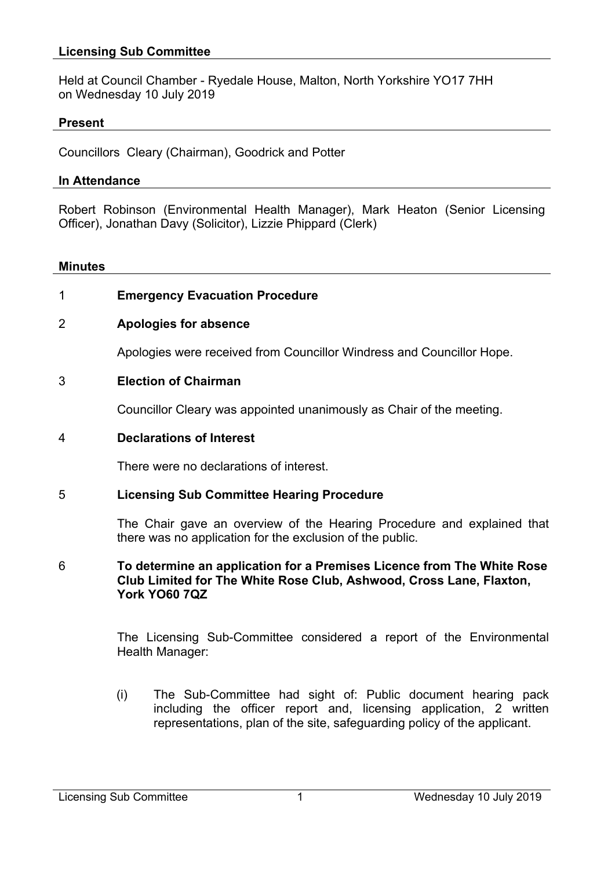# **Licensing Sub Committee**

Held at Council Chamber - Ryedale House, Malton, North Yorkshire YO17 7HH on Wednesday 10 July 2019

## **Present**

Councillors Cleary (Chairman), Goodrick and Potter

### **In Attendance**

Robert Robinson (Environmental Health Manager), Mark Heaton (Senior Licensing Officer), Jonathan Davy (Solicitor), Lizzie Phippard (Clerk)

#### **Minutes**

# 1 **Emergency Evacuation Procedure**

# 2 **Apologies for absence**

Apologies were received from Councillor Windress and Councillor Hope.

## 3 **Election of Chairman**

Councillor Cleary was appointed unanimously as Chair of the meeting.

### 4 **Declarations of Interest**

There were no declarations of interest.

#### 5 **Licensing Sub Committee Hearing Procedure**

The Chair gave an overview of the Hearing Procedure and explained that there was no application for the exclusion of the public.

## 6 **To determine an application for a Premises Licence from The White Rose Club Limited for The White Rose Club, Ashwood, Cross Lane, Flaxton, York YO60 7QZ**

The Licensing Sub-Committee considered a report of the Environmental Health Manager:

(i) The Sub-Committee had sight of: Public document hearing pack including the officer report and, licensing application, 2 written representations, plan of the site, safeguarding policy of the applicant.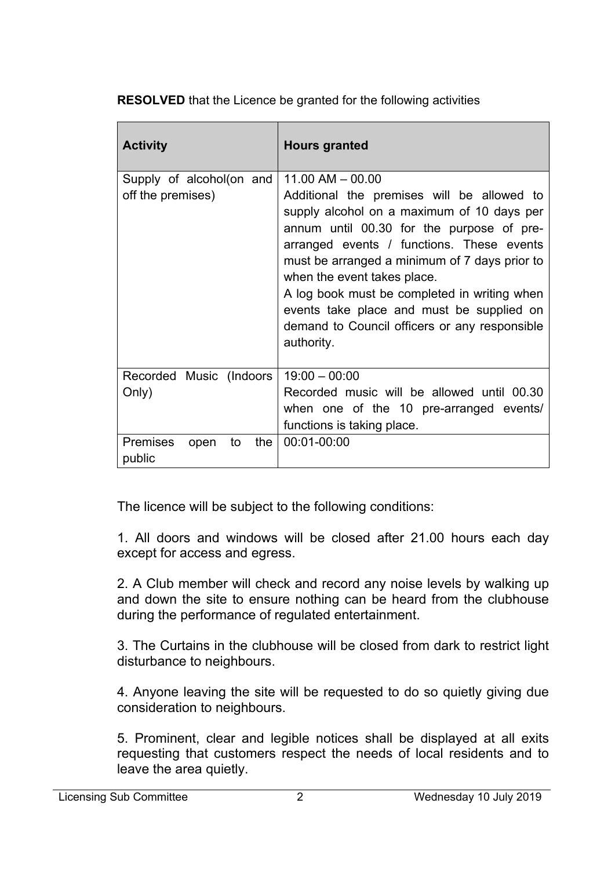**RESOLVED** that the Licence be granted for the following activities

| <b>Activity</b>                                    | <b>Hours granted</b>                                                                                                                                                                                                                                                                                                                                                                                                                                   |
|----------------------------------------------------|--------------------------------------------------------------------------------------------------------------------------------------------------------------------------------------------------------------------------------------------------------------------------------------------------------------------------------------------------------------------------------------------------------------------------------------------------------|
| Supply of alcohol(on and<br>off the premises)      | $11.00$ AM $-$ 00.00<br>Additional the premises will be allowed to<br>supply alcohol on a maximum of 10 days per<br>annum until 00.30 for the purpose of pre-<br>arranged events / functions. These events<br>must be arranged a minimum of 7 days prior to<br>when the event takes place.<br>A log book must be completed in writing when<br>events take place and must be supplied on<br>demand to Council officers or any responsible<br>authority. |
| Recorded Music (Indoors<br>Only)                   | $19:00 - 00:00$<br>Recorded music will be allowed until 00.30<br>when one of the 10 pre-arranged events/<br>functions is taking place.                                                                                                                                                                                                                                                                                                                 |
| <b>Premises</b><br>the $ $<br>to<br>open<br>public | 00:01-00:00                                                                                                                                                                                                                                                                                                                                                                                                                                            |

The licence will be subject to the following conditions:

1. All doors and windows will be closed after 21.00 hours each day except for access and egress.

2. A Club member will check and record any noise levels by walking up and down the site to ensure nothing can be heard from the clubhouse during the performance of regulated entertainment.

3. The Curtains in the clubhouse will be closed from dark to restrict light disturbance to neighbours.

4. Anyone leaving the site will be requested to do so quietly giving due consideration to neighbours.

5. Prominent, clear and legible notices shall be displayed at all exits requesting that customers respect the needs of local residents and to leave the area quietly.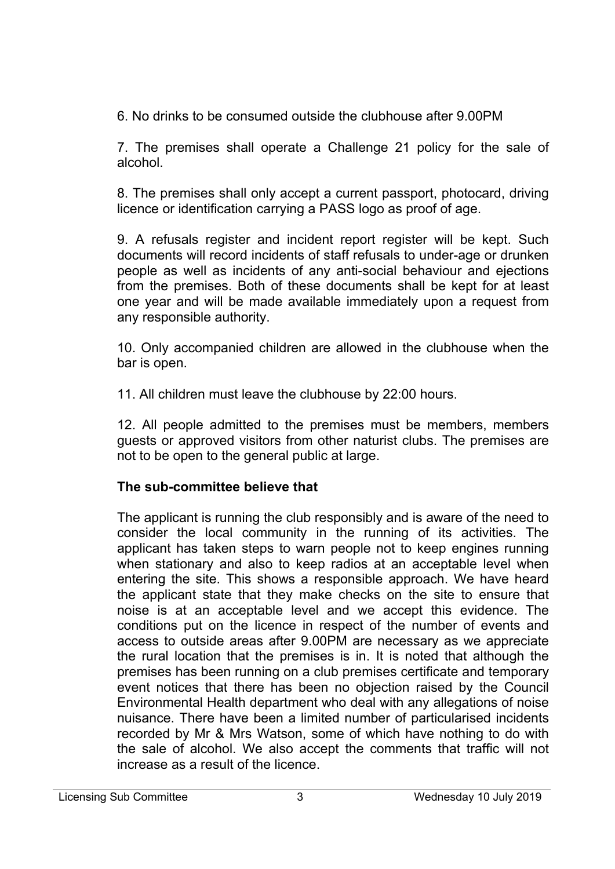6. No drinks to be consumed outside the clubhouse after 9.00PM

7. The premises shall operate a Challenge 21 policy for the sale of alcohol.

8. The premises shall only accept a current passport, photocard, driving licence or identification carrying a PASS logo as proof of age.

9. A refusals register and incident report register will be kept. Such documents will record incidents of staff refusals to under-age or drunken people as well as incidents of any anti-social behaviour and ejections from the premises. Both of these documents shall be kept for at least one year and will be made available immediately upon a request from any responsible authority.

10. Only accompanied children are allowed in the clubhouse when the bar is open.

11. All children must leave the clubhouse by 22:00 hours.

12. All people admitted to the premises must be members, members guests or approved visitors from other naturist clubs. The premises are not to be open to the general public at large.

# **The sub-committee believe that**

The applicant is running the club responsibly and is aware of the need to consider the local community in the running of its activities. The applicant has taken steps to warn people not to keep engines running when stationary and also to keep radios at an acceptable level when entering the site. This shows a responsible approach. We have heard the applicant state that they make checks on the site to ensure that noise is at an acceptable level and we accept this evidence. The conditions put on the licence in respect of the number of events and access to outside areas after 9.00PM are necessary as we appreciate the rural location that the premises is in. It is noted that although the premises has been running on a club premises certificate and temporary event notices that there has been no objection raised by the Council Environmental Health department who deal with any allegations of noise nuisance. There have been a limited number of particularised incidents recorded by Mr & Mrs Watson, some of which have nothing to do with the sale of alcohol. We also accept the comments that traffic will not increase as a result of the licence.